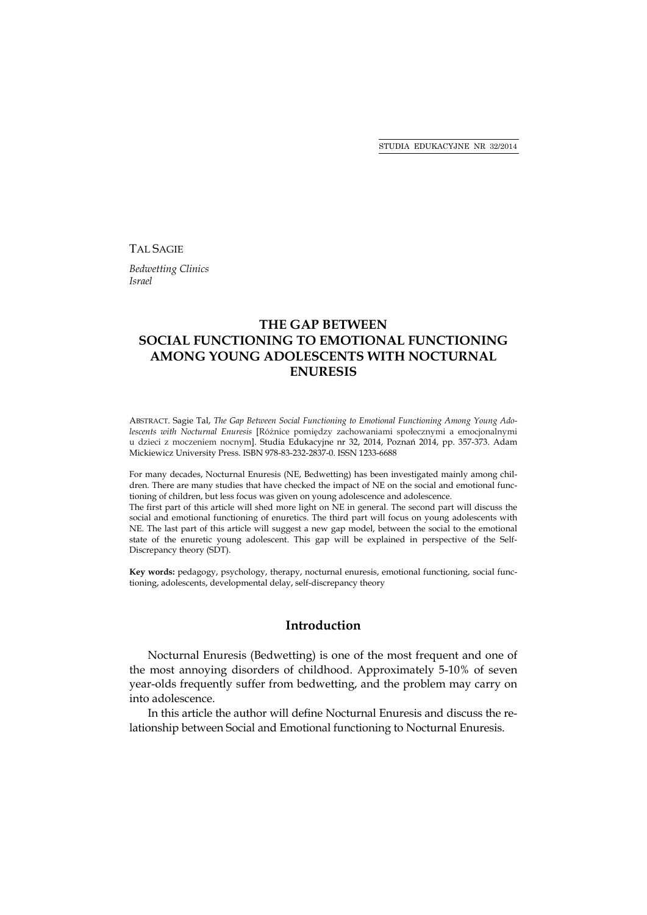TAL SAGIE

*Bedwetting Clinics Israel* 

# **THE GAP BETWEEN SOCIAL FUNCTIONING TO EMOTIONAL FUNCTIONING AMONG YOUNG ADOLESCENTS WITH NOCTURNAL ENURESIS**

ABSTRACT. Sagie Tal, *The Gap Between Social Functioning to Emotional Functioning Among Young Adolescents with Nocturnal Enuresis* [Różnice pomiędzy zachowaniami społecznymi a emocjonalnymi u dzieci z moczeniem nocnym]. Studia Edukacyjne nr 32, 2014, Poznań 2014, pp. 357-373. Adam Mickiewicz University Press. ISBN 978-83-232-2837-0. ISSN 1233-6688

For many decades, Nocturnal Enuresis (NE, Bedwetting) has been investigated mainly among children. There are many studies that have checked the impact of NE on the social and emotional functioning of children, but less focus was given on young adolescence and adolescence.

The first part of this article will shed more light on NE in general. The second part will discuss the social and emotional functioning of enuretics. The third part will focus on young adolescents with NE. The last part of this article will suggest a new gap model, between the social to the emotional state of the enuretic young adolescent. This gap will be explained in perspective of the Self-Discrepancy theory (SDT).

**Key words:** pedagogy, psychology, therapy, nocturnal enuresis, emotional functioning, social functioning, adolescents, developmental delay, self-discrepancy theory

### **Introduction**

Nocturnal Enuresis (Bedwetting) is one of the most frequent and one of the most annoying disorders of childhood. Approximately 5-10% of seven year-olds frequently suffer from bedwetting, and the problem may carry on into adolescence.

In this article the author will define Nocturnal Enuresis and discuss the relationship between Social and Emotional functioning to Nocturnal Enuresis.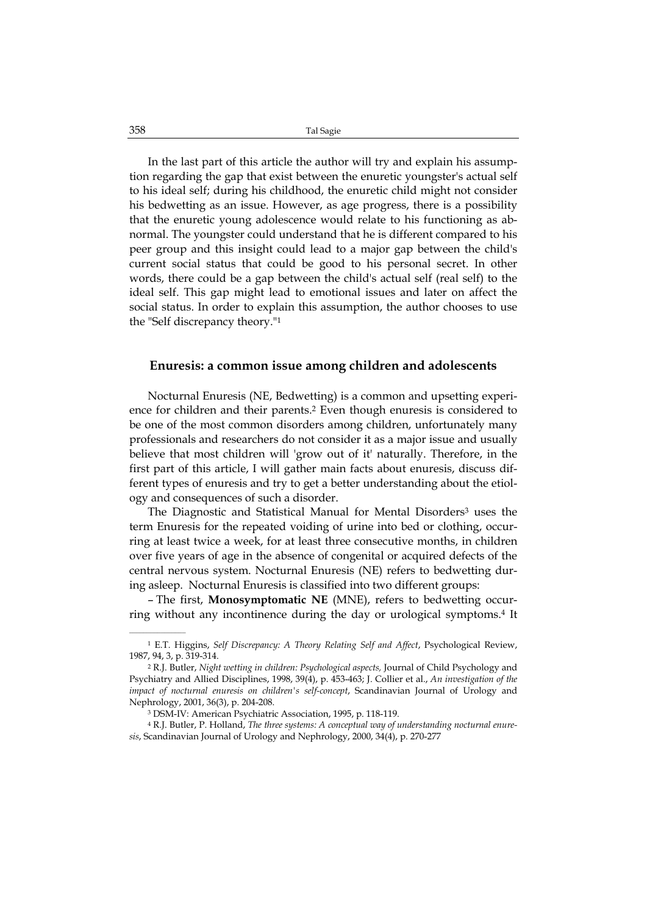In the last part of this article the author will try and explain his assumption regarding the gap that exist between the enuretic youngster's actual self to his ideal self; during his childhood, the enuretic child might not consider his bedwetting as an issue. However, as age progress, there is a possibility that the enuretic young adolescence would relate to his functioning as abnormal. The youngster could understand that he is different compared to his peer group and this insight could lead to a major gap between the child's current social status that could be good to his personal secret. In other words, there could be a gap between the child's actual self (real self) to the ideal self. This gap might lead to emotional issues and later on affect the social status. In order to explain this assumption, the author chooses to use the "Self discrepancy theory."1

### **Enuresis: a common issue among children and adolescents**

Nocturnal Enuresis (NE, Bedwetting) is a common and upsetting experience for children and their parents.2 Even though enuresis is considered to be one of the most common disorders among children, unfortunately many professionals and researchers do not consider it as a major issue and usually believe that most children will 'grow out of it' naturally. Therefore, in the first part of this article, I will gather main facts about enuresis, discuss different types of enuresis and try to get a better understanding about the etiology and consequences of such a disorder.

The Diagnostic and Statistical Manual for Mental Disorders<sup>3</sup> uses the term Enuresis for the repeated voiding of urine into bed or clothing, occurring at least twice a week, for at least three consecutive months, in children over five years of age in the absence of congenital or acquired defects of the central nervous system. Nocturnal Enuresis (NE) refers to bedwetting during asleep. Nocturnal Enuresis is classified into two different groups:

– The first, **Monosymptomatic NE** (MNE), refers to bedwetting occurring without any incontinence during the day or urological symptoms.4 It

<sup>1</sup> E.T. Higgins, *Self Discrepancy: A Theory Relating Self and Affect*, Psychological Review, 1987, 94, 3, p. 319-314.

<sup>2</sup> R.J. Butler, *Night wetting in children: Psychological aspects,* Journal of Child Psychology and Psychiatry and Allied Disciplines, 1998, 39(4), p. 453-463; J. Collier et al., *An investigation of the impact of nocturnal enuresis on children's self-concept*, Scandinavian Journal of Urology and Nephrology, 2001, 36(3), p. 204-208.

<sup>3</sup> DSM-IV: American Psychiatric Association, 1995, p. 118-119.

<sup>4</sup> R.J. Butler, P. Holland, *The three systems: A conceptual way of understanding nocturnal enuresis*, Scandinavian Journal of Urology and Nephrology, 2000, 34(4), p. 270-277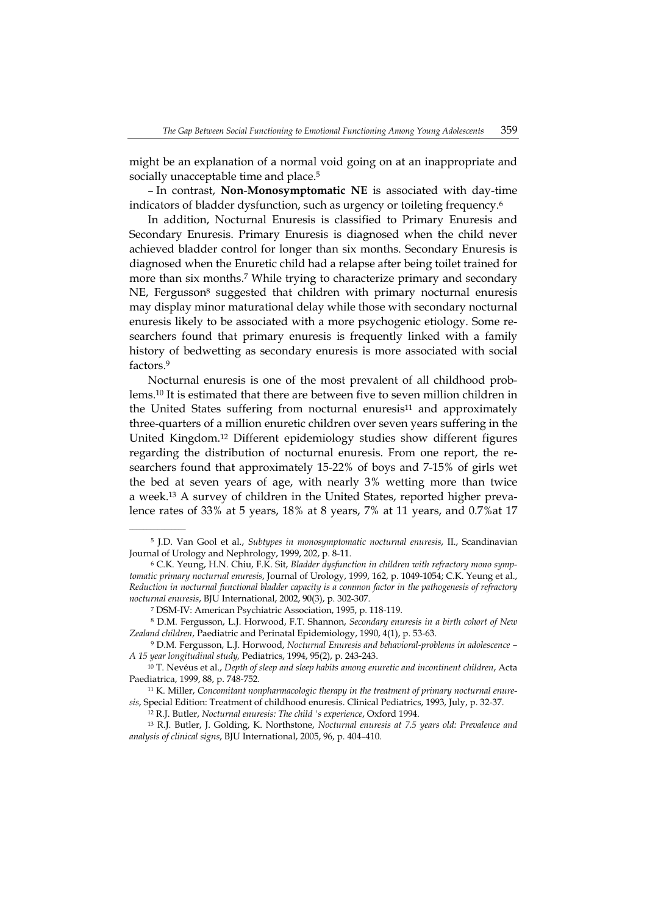might be an explanation of a normal void going on at an inappropriate and socially unacceptable time and place.<sup>5</sup>

– In contrast, **Non**-**Monosymptomatic NE** is associated with day-time indicators of bladder dysfunction, such as urgency or toileting frequency.<sup>6</sup>

In addition, Nocturnal Enuresis is classified to Primary Enuresis and Secondary Enuresis. Primary Enuresis is diagnosed when the child never achieved bladder control for longer than six months. Secondary Enuresis is diagnosed when the Enuretic child had a relapse after being toilet trained for more than six months.7 While trying to characterize primary and secondary NE, Fergusson<sup>8</sup> suggested that children with primary nocturnal enuresis may display minor maturational delay while those with secondary nocturnal enuresis likely to be associated with a more psychogenic etiology. Some researchers found that primary enuresis is frequently linked with a family history of bedwetting as secondary enuresis is more associated with social factors.9

Nocturnal enuresis is one of the most prevalent of all childhood problems.10 It is estimated that there are between five to seven million children in the United States suffering from nocturnal enuresis<sup>11</sup> and approximately three-quarters of a million enuretic children over seven years suffering in the United Kingdom.12 Different epidemiology studies show different figures regarding the distribution of nocturnal enuresis. From one report, the researchers found that approximately 15-22% of boys and 7-15% of girls wet the bed at seven years of age, with nearly 3% wetting more than twice a week.13 A survey of children in the United States, reported higher prevalence rates of 33% at 5 years, 18% at 8 years, 7% at 11 years, and 0.7%at 17

<sup>5</sup> J.D. Van Gool et al., *Subtypes in monosymptomatic nocturnal enuresis*, II., Scandinavian Journal of Urology and Nephrology, 1999, 202, p. 8-11.

<sup>6</sup> C.K. Yeung, H.N. Chiu, F.K. Sit, *Bladder dysfunction in children with refractory mono symptomatic primary nocturnal enuresis*, Journal of Urology, 1999, 162, p. 1049-1054; C.K. Yeung et al., *Reduction in nocturnal functional bladder capacity is a common factor in the pathogenesis of refractory nocturnal enuresis*, BJU International, 2002, 90(3), p. 302-307.

<sup>7</sup> DSM-IV: American Psychiatric Association, 1995, p. 118-119.

<sup>8</sup> D.M. Fergusson, L.J. Horwood, F.T. Shannon, *Secondary enuresis in a birth cohort of New Zealand children*, Paediatric and Perinatal Epidemiology, 1990, 4(1), p. 53-63.

<sup>9</sup> D.M. Fergusson, L.J. Horwood, *Nocturnal Enuresis and behavioral-problems in adolescence – A 15 year longitudinal study,* Pediatrics, 1994, 95(2), p. 243-243.

<sup>10</sup> T. Nevéus et al., *Depth of sleep and sleep habits among enuretic and incontinent children*, Acta Paediatrica, 1999, 88, p. 748-752.

<sup>11</sup> K. Miller, *Concomitant nonpharmacologic therapy in the treatment of primary nocturnal enuresis*, Special Edition: Treatment of childhood enuresis. Clinical Pediatrics, 1993, July, p. 32-37.

<sup>12</sup> R.J. Butler, *Nocturnal enuresis: The child 's experience*, Oxford 1994.

<sup>13</sup> R.J. Butler, J. Golding, K. Northstone, *Nocturnal enuresis at 7.5 years old: Prevalence and analysis of clinical signs*, BJU International, 2005, 96, p. 404–410.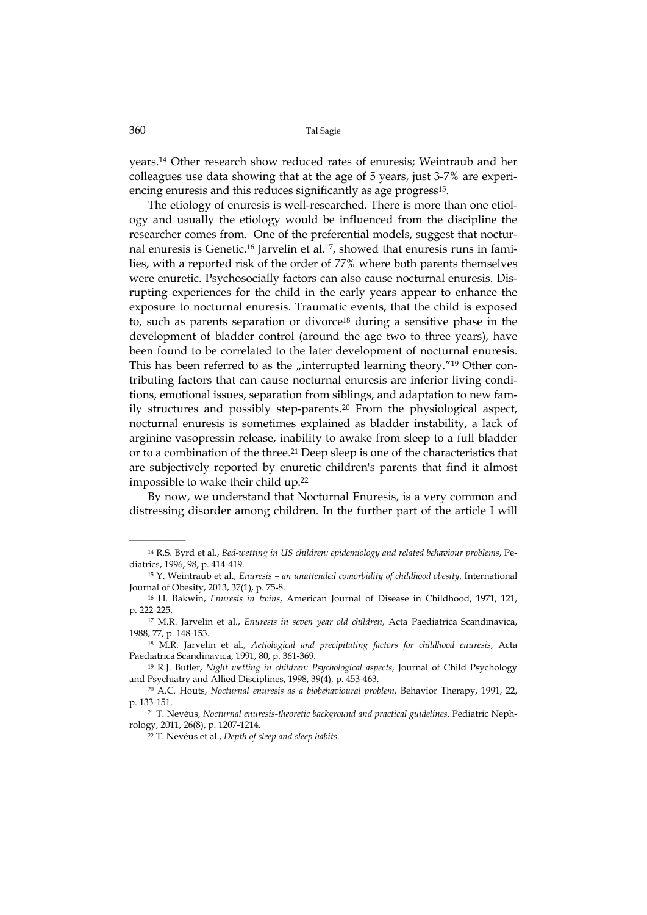years.14 Other research show reduced rates of enuresis; Weintraub and her colleagues use data showing that at the age of 5 years, just 3-7% are experiencing enuresis and this reduces significantly as age progress<sup>15</sup>.

The etiology of enuresis is well-researched. There is more than one etiology and usually the etiology would be influenced from the discipline the researcher comes from. One of the preferential models, suggest that nocturnal enuresis is Genetic.16 Jarvelin et al.17, showed that enuresis runs in families, with a reported risk of the order of 77% where both parents themselves were enuretic. Psychosocially factors can also cause nocturnal enuresis. Disrupting experiences for the child in the early years appear to enhance the exposure to nocturnal enuresis. Traumatic events, that the child is exposed to, such as parents separation or divorce<sup>18</sup> during a sensitive phase in the development of bladder control (around the age two to three years), have been found to be correlated to the later development of nocturnal enuresis. This has been referred to as the "interrupted learning theory."<sup>19</sup> Other contributing factors that can cause nocturnal enuresis are inferior living conditions, emotional issues, separation from siblings, and adaptation to new family structures and possibly step-parents.20 From the physiological aspect, nocturnal enuresis is sometimes explained as bladder instability, a lack of arginine vasopressin release, inability to awake from sleep to a full bladder or to a combination of the three.21 Deep sleep is one of the characteristics that are subjectively reported by enuretic children's parents that find it almost impossible to wake their child up.22

By now, we understand that Nocturnal Enuresis, is a very common and distressing disorder among children. In the further part of the article I will

<sup>14</sup> R.S. Byrd et al., *Bed-wetting in US children: epidemiology and related behaviour problems*, Pediatrics, 1996, 98, p. 414-419.

<sup>15</sup> Y. Weintraub et al., *Enuresis – an unattended comorbidity of childhood obesity*, International Journal of Obesity, 2013, 37(1), p. 75-8.

<sup>16</sup> H. Bakwin, *Enuresis in twins*, American Journal of Disease in Childhood, 1971, 121, p. 222-225.

<sup>17</sup> M.R. Jarvelin et al., *Enuresis in seven year old children*, Acta Paediatrica Scandinavica, 1988, 77, p. 148-153.

<sup>18</sup> M.R. Jarvelin et al., *Aetiological and precipitating factors for childhood enuresis*, Acta Paediatrica Scandinavica, 1991, 80, p. 361-369.

<sup>19</sup> R.J. Butler, *Night wetting in children: Psychological aspects,* Journal of Child Psychology and Psychiatry and Allied Disciplines, 1998, 39(4), p. 453-463.

<sup>20</sup> A.C. Houts, *Nocturnal enuresis as a biobehavioural problem*, Behavior Therapy, 1991, 22, p. 133-151.

<sup>21</sup> T. Nevéus, *Nocturnal enuresis-theoretic background and practical guidelines*, Pediatric Nephrology, 2011, 26(8), p. 1207-1214.

<sup>22</sup> T. Nevéus et al., *Depth of sleep and sleep habits*.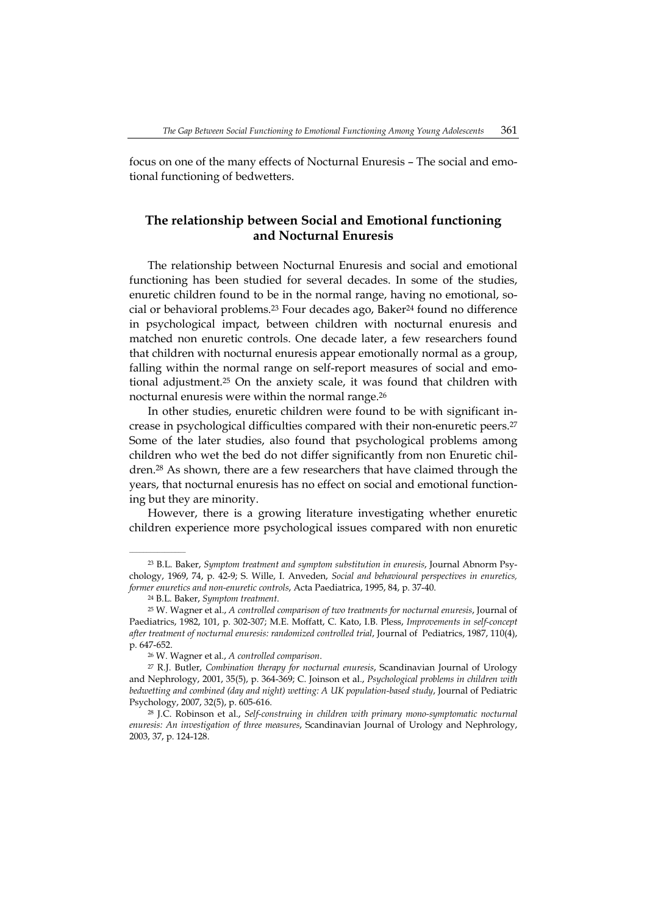focus on one of the many effects of Nocturnal Enuresis – The social and emotional functioning of bedwetters.

# **The relationship between Social and Emotional functioning and Nocturnal Enuresis**

The relationship between Nocturnal Enuresis and social and emotional functioning has been studied for several decades. In some of the studies, enuretic children found to be in the normal range, having no emotional, social or behavioral problems.23 Four decades ago, Baker24 found no difference in psychological impact, between children with nocturnal enuresis and matched non enuretic controls. One decade later, a few researchers found that children with nocturnal enuresis appear emotionally normal as a group, falling within the normal range on self-report measures of social and emotional adjustment.25 On the anxiety scale, it was found that children with nocturnal enuresis were within the normal range.26

In other studies, enuretic children were found to be with significant increase in psychological difficulties compared with their non-enuretic peers.27 Some of the later studies, also found that psychological problems among children who wet the bed do not differ significantly from non Enuretic children.28 As shown, there are a few researchers that have claimed through the years, that nocturnal enuresis has no effect on social and emotional functioning but they are minority.

However, there is a growing literature investigating whether enuretic children experience more psychological issues compared with non enuretic

<sup>23</sup> B.L. Baker, *Symptom treatment and symptom substitution in enuresis*, Journal Abnorm Psychology, 1969, 74, p. 42-9; S. Wille, I. Anveden, *Social and behavioural perspectives in enuretics, former enuretics and non-enuretic controls*, Acta Paediatrica, 1995, 84, p. 37-40.

<sup>24</sup> B.L. Baker, *Symptom treatment*.

<sup>25</sup> W. Wagner et al., *A controlled comparison of two treatments for nocturnal enuresis*, Journal of Paediatrics, 1982, 101, p. 302-307; M.E. Moffatt, C. Kato, I.B. Pless, *Improvements in self-concept after treatment of nocturnal enuresis: randomized controlled trial*, Journal of Pediatrics, 1987, 110(4), p. 647-652.

<sup>26</sup> W. Wagner et al., *A controlled comparison*.

<sup>27</sup> R.J. Butler, *Combination therapy for nocturnal enuresis*, Scandinavian Journal of Urology and Nephrology, 2001, 35(5), p. 364-369; C. Joinson et al., *Psychological problems in children with bedwetting and combined (day and night) wetting: A UK population-based study*, Journal of Pediatric Psychology, 2007, 32(5), p. 605-616.

<sup>28</sup> J.C. Robinson et al., *Self-construing in children with primary mono-symptomatic nocturnal enuresis: An investigation of three measures*, Scandinavian Journal of Urology and Nephrology, 2003, 37, p. 124-128.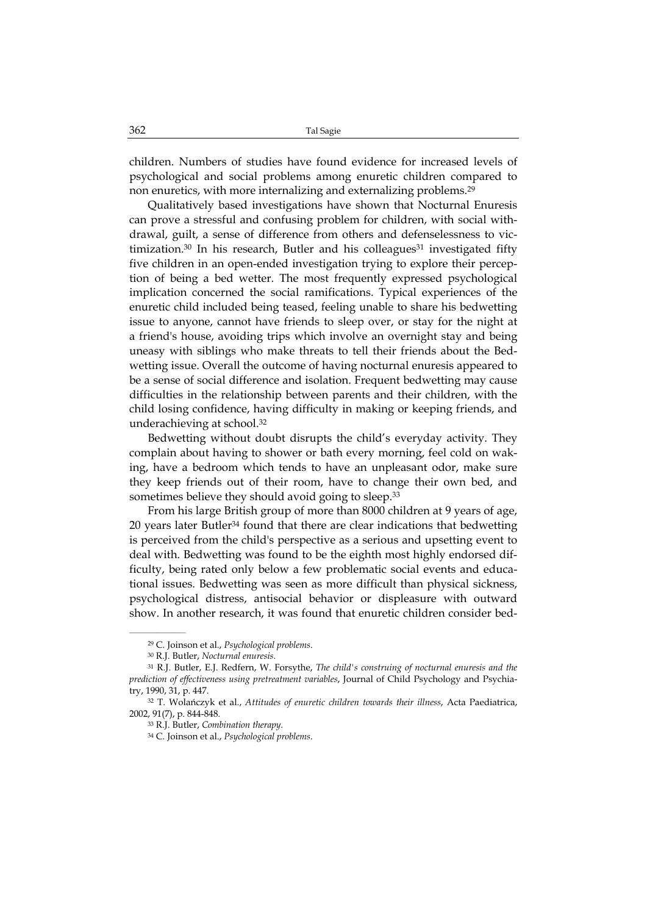children. Numbers of studies have found evidence for increased levels of psychological and social problems among enuretic children compared to non enuretics, with more internalizing and externalizing problems.29

Qualitatively based investigations have shown that Nocturnal Enuresis can prove a stressful and confusing problem for children, with social withdrawal, guilt, a sense of difference from others and defenselessness to victimization.<sup>30</sup> In his research, Butler and his colleagues<sup>31</sup> investigated fifty five children in an open-ended investigation trying to explore their perception of being a bed wetter. The most frequently expressed psychological implication concerned the social ramifications. Typical experiences of the enuretic child included being teased, feeling unable to share his bedwetting issue to anyone, cannot have friends to sleep over, or stay for the night at a friend's house, avoiding trips which involve an overnight stay and being uneasy with siblings who make threats to tell their friends about the Bedwetting issue. Overall the outcome of having nocturnal enuresis appeared to be a sense of social difference and isolation. Frequent bedwetting may cause difficulties in the relationship between parents and their children, with the child losing confidence, having difficulty in making or keeping friends, and underachieving at school.32

Bedwetting without doubt disrupts the child's everyday activity. They complain about having to shower or bath every morning, feel cold on waking, have a bedroom which tends to have an unpleasant odor, make sure they keep friends out of their room, have to change their own bed, and sometimes believe they should avoid going to sleep.<sup>33</sup>

From his large British group of more than 8000 children at 9 years of age, 20 years later Butler34 found that there are clear indications that bedwetting is perceived from the child's perspective as a serious and upsetting event to deal with. Bedwetting was found to be the eighth most highly endorsed difficulty, being rated only below a few problematic social events and educational issues. Bedwetting was seen as more difficult than physical sickness, psychological distress, antisocial behavior or displeasure with outward show. In another research, it was found that enuretic children consider bed-

<sup>29</sup> C. Joinson et al., *Psychological problems*.

<sup>30</sup> R.J. Butler, *Nocturnal enuresis*.

<sup>31</sup> R.J. Butler, E.J. Redfern, W. Forsythe, *The child's construing of nocturnal enuresis and the prediction of effectiveness using pretreatment variables*, Journal of Child Psychology and Psychiatry, 1990, 31, p. 447.

<sup>32</sup> T. Wolańczyk et al., *Attitudes of enuretic children towards their illness*, Acta Paediatrica, 2002, 91(7), p. 844-848.

<sup>33</sup> R.J. Butler, *Combination therapy*.

<sup>34</sup> C. Joinson et al., *Psychological problems*.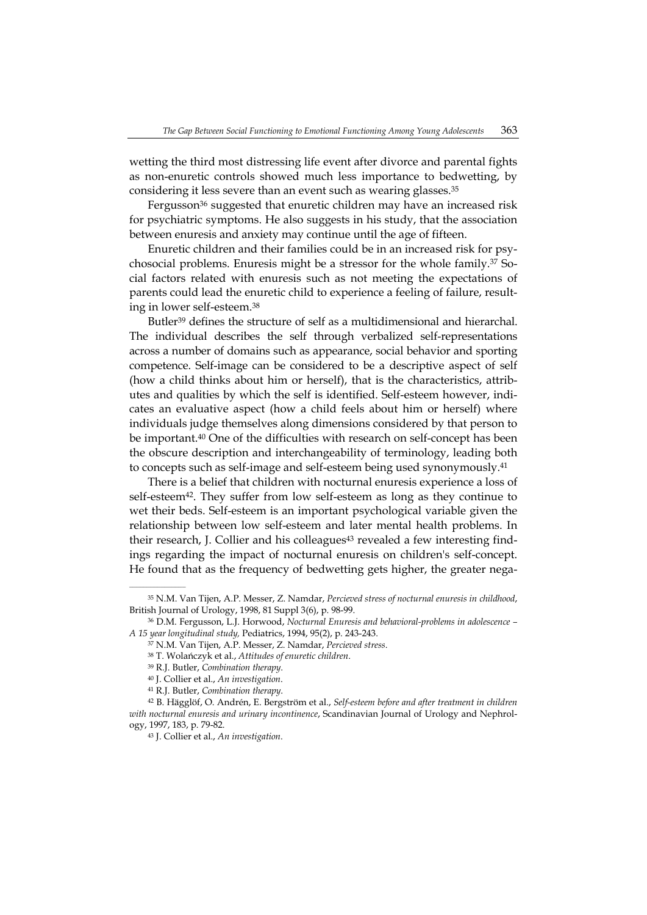wetting the third most distressing life event after divorce and parental fights as non-enuretic controls showed much less importance to bedwetting, by considering it less severe than an event such as wearing glasses.35

Fergusson<sup>36</sup> suggested that enuretic children may have an increased risk for psychiatric symptoms. He also suggests in his study, that the association between enuresis and anxiety may continue until the age of fifteen.

Enuretic children and their families could be in an increased risk for psychosocial problems. Enuresis might be a stressor for the whole family.37 Social factors related with enuresis such as not meeting the expectations of parents could lead the enuretic child to experience a feeling of failure, resulting in lower self-esteem.38

Butler39 defines the structure of self as a multidimensional and hierarchal. The individual describes the self through verbalized self-representations across a number of domains such as appearance, social behavior and sporting competence. Self-image can be considered to be a descriptive aspect of self (how a child thinks about him or herself), that is the characteristics, attributes and qualities by which the self is identified. Self-esteem however, indicates an evaluative aspect (how a child feels about him or herself) where individuals judge themselves along dimensions considered by that person to be important.40 One of the difficulties with research on self-concept has been the obscure description and interchangeability of terminology, leading both to concepts such as self-image and self-esteem being used synonymously.41

There is a belief that children with nocturnal enuresis experience a loss of self-esteem<sup>42</sup>. They suffer from low self-esteem as long as they continue to wet their beds. Self-esteem is an important psychological variable given the relationship between low self-esteem and later mental health problems. In their research, J. Collier and his colleagues<sup>43</sup> revealed a few interesting findings regarding the impact of nocturnal enuresis on children's self-concept. He found that as the frequency of bedwetting gets higher, the greater nega-

<sup>35</sup> N.M. Van Tijen, A.P. Messer, Z. Namdar, *Percieved stress of nocturnal enuresis in childhood*, British Journal of Urology, 1998, 81 Suppl 3(6), p. 98-99.

<sup>36</sup> D.M. Fergusson, L.J. Horwood, *Nocturnal Enuresis and behavioral-problems in adolescence – A 15 year longitudinal study,* Pediatrics, 1994, 95(2), p. 243-243.

<sup>37</sup> N.M. Van Tijen, A.P. Messer, Z. Namdar, *Percieved stress*.

<sup>38</sup> T. Wolańczyk et al., *Attitudes of enuretic children*.

<sup>39</sup> R.J. Butler, *Combination therapy*.

<sup>40</sup> J. Collier et al., *An investigation*.

<sup>41</sup> R.J. Butler, *Combination therapy*.

<sup>42</sup> B. Hägglöf, O. Andrén, E. Bergström et al., *Self-esteem before and after treatment in children with nocturnal enuresis and urinary incontinence*, Scandinavian Journal of Urology and Nephrology, 1997, 183, p. 79-82.

<sup>43</sup> J. Collier et al., *An investigation*.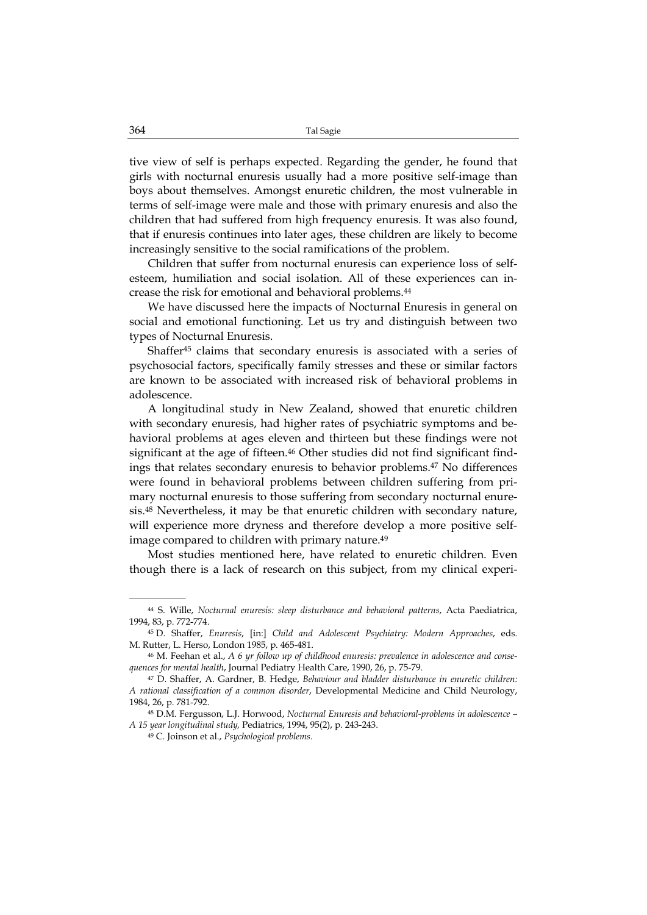tive view of self is perhaps expected. Regarding the gender, he found that girls with nocturnal enuresis usually had a more positive self-image than boys about themselves. Amongst enuretic children, the most vulnerable in terms of self-image were male and those with primary enuresis and also the children that had suffered from high frequency enuresis. It was also found, that if enuresis continues into later ages, these children are likely to become increasingly sensitive to the social ramifications of the problem.

Children that suffer from nocturnal enuresis can experience loss of selfesteem, humiliation and social isolation. All of these experiences can increase the risk for emotional and behavioral problems.44

We have discussed here the impacts of Nocturnal Enuresis in general on social and emotional functioning. Let us try and distinguish between two types of Nocturnal Enuresis.

Shaffer45 claims that secondary enuresis is associated with a series of psychosocial factors, specifically family stresses and these or similar factors are known to be associated with increased risk of behavioral problems in adolescence.

A longitudinal study in New Zealand, showed that enuretic children with secondary enuresis, had higher rates of psychiatric symptoms and behavioral problems at ages eleven and thirteen but these findings were not significant at the age of fifteen.<sup>46</sup> Other studies did not find significant findings that relates secondary enuresis to behavior problems.47 No differences were found in behavioral problems between children suffering from primary nocturnal enuresis to those suffering from secondary nocturnal enuresis.48 Nevertheless, it may be that enuretic children with secondary nature, will experience more dryness and therefore develop a more positive selfimage compared to children with primary nature.<sup>49</sup>

Most studies mentioned here, have related to enuretic children. Even though there is a lack of research on this subject, from my clinical experi-

<sup>44</sup> S. Wille, *Nocturnal enuresis: sleep disturbance and behavioral patterns*, Acta Paediatrica, 1994, 83, p. 772-774.

<sup>45</sup> D. Shaffer, *Enuresis*, [in:] *Child and Adolescent Psychiatry: Modern Approaches*, eds. M. Rutter, L. Herso, London 1985, p. 465-481.

<sup>46</sup> M. Feehan et al., *A 6 yr follow up of childhood enuresis: prevalence in adolescence and consequences for mental health*, Journal Pediatry Health Care, 1990, 26, p. 75-79.

<sup>47</sup> D. Shaffer, A. Gardner, B. Hedge, *Behaviour and bladder disturbance in enuretic children: A rational classification of a common disorder*, Developmental Medicine and Child Neurology, 1984, 26, p. 781-792.

<sup>48</sup> D.M. Fergusson, L.J. Horwood, *Nocturnal Enuresis and behavioral-problems in adolescence – A 15 year longitudinal study,* Pediatrics, 1994, 95(2), p. 243-243.

<sup>49</sup> C. Joinson et al., *Psychological problems*.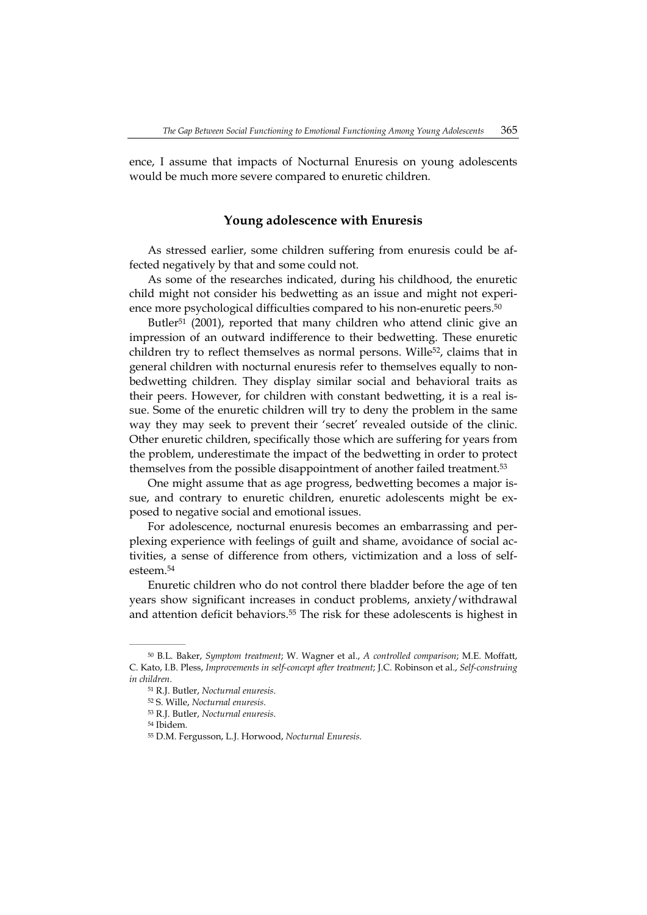ence, I assume that impacts of Nocturnal Enuresis on young adolescents would be much more severe compared to enuretic children.

## **Young adolescence with Enuresis**

As stressed earlier, some children suffering from enuresis could be affected negatively by that and some could not.

As some of the researches indicated, during his childhood, the enuretic child might not consider his bedwetting as an issue and might not experience more psychological difficulties compared to his non-enuretic peers.<sup>50</sup>

Butler<sup>51</sup> (2001), reported that many children who attend clinic give an impression of an outward indifference to their bedwetting. These enuretic children try to reflect themselves as normal persons. Wille<sup>52</sup>, claims that in general children with nocturnal enuresis refer to themselves equally to nonbedwetting children. They display similar social and behavioral traits as their peers. However, for children with constant bedwetting, it is a real issue. Some of the enuretic children will try to deny the problem in the same way they may seek to prevent their 'secret' revealed outside of the clinic. Other enuretic children, specifically those which are suffering for years from the problem, underestimate the impact of the bedwetting in order to protect themselves from the possible disappointment of another failed treatment.53

One might assume that as age progress, bedwetting becomes a major issue, and contrary to enuretic children, enuretic adolescents might be exposed to negative social and emotional issues.

For adolescence, nocturnal enuresis becomes an embarrassing and perplexing experience with feelings of guilt and shame, avoidance of social activities, a sense of difference from others, victimization and a loss of selfesteem.54

Enuretic children who do not control there bladder before the age of ten years show significant increases in conduct problems, anxiety/withdrawal and attention deficit behaviors.55 The risk for these adolescents is highest in

<sup>50</sup> B.L. Baker, *Symptom treatment*; W. Wagner et al., *A controlled comparison*; M.E. Moffatt, C. Kato, I.B. Pless, *Improvements in self-concept after treatment*; J.C. Robinson et al., *Self-construing in children*.

<sup>51</sup> R.J. Butler, *Nocturnal enuresis*.

<sup>52</sup> S. Wille, *Nocturnal enuresis*.

<sup>53</sup> R.J. Butler, *Nocturnal enuresis*.

<sup>54</sup> Ibidem.

<sup>55</sup> D.M. Fergusson, L.J. Horwood, *Nocturnal Enuresis*.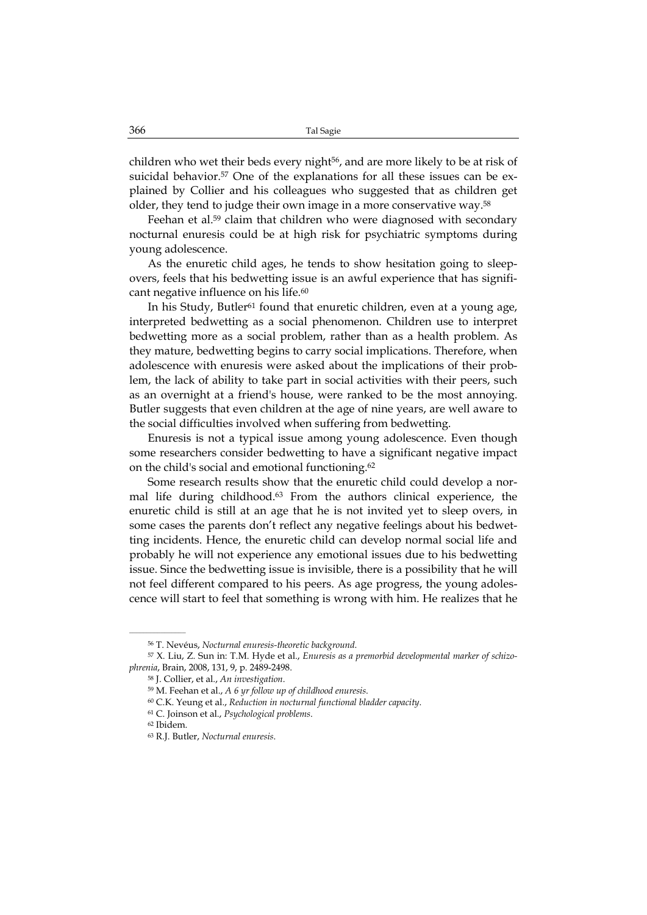children who wet their beds every night<sup>56</sup>, and are more likely to be at risk of suicidal behavior.57 One of the explanations for all these issues can be explained by Collier and his colleagues who suggested that as children get older, they tend to judge their own image in a more conservative way.58

Feehan et al.<sup>59</sup> claim that children who were diagnosed with secondary nocturnal enuresis could be at high risk for psychiatric symptoms during young adolescence.

As the enuretic child ages, he tends to show hesitation going to sleepovers, feels that his bedwetting issue is an awful experience that has significant negative influence on his life.<sup>60</sup>

In his Study, Butler<sup>61</sup> found that enuretic children, even at a young age, interpreted bedwetting as a social phenomenon. Children use to interpret bedwetting more as a social problem, rather than as a health problem. As they mature, bedwetting begins to carry social implications. Therefore, when adolescence with enuresis were asked about the implications of their problem, the lack of ability to take part in social activities with their peers, such as an overnight at a friend's house, were ranked to be the most annoying. Butler suggests that even children at the age of nine years, are well aware to the social difficulties involved when suffering from bedwetting.

Enuresis is not a typical issue among young adolescence. Even though some researchers consider bedwetting to have a significant negative impact on the child's social and emotional functioning.62

Some research results show that the enuretic child could develop a normal life during childhood.63 From the authors clinical experience, the enuretic child is still at an age that he is not invited yet to sleep overs, in some cases the parents don't reflect any negative feelings about his bedwetting incidents. Hence, the enuretic child can develop normal social life and probably he will not experience any emotional issues due to his bedwetting issue. Since the bedwetting issue is invisible, there is a possibility that he will not feel different compared to his peers. As age progress, the young adolescence will start to feel that something is wrong with him. He realizes that he

<sup>56</sup> T. Nevéus, *Nocturnal enuresis-theoretic background*.

<sup>57</sup> X. Liu, Z. Sun in: T.M. Hyde et al., *Enuresis as a premorbid developmental marker of schizophrenia*, Brain, 2008, 131, 9, p. 2489-2498.

<sup>58</sup> J. Collier, et al., *An investigation*.

<sup>59</sup> M. Feehan et al., *A 6 yr follow up of childhood enuresis*.

<sup>60</sup> C.K. Yeung et al., *Reduction in nocturnal functional bladder capacity*.

<sup>61</sup> C. Joinson et al., *Psychological problems*.

<sup>62</sup> Ibidem.

<sup>63</sup> R.J. Butler, *Nocturnal enuresis*.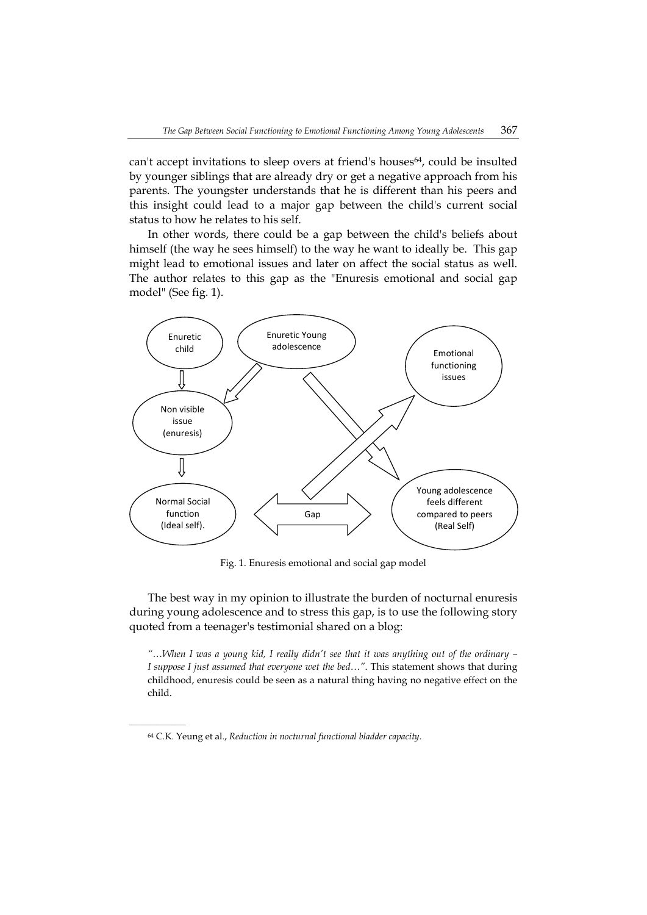can't accept invitations to sleep overs at friend's houses<sup>64</sup>, could be insulted by younger siblings that are already dry or get a negative approach from his parents. The youngster understands that he is different than his peers and this insight could lead to a major gap between the child's current social status to how he relates to his self.

In other words, there could be a gap between the child's beliefs about himself (the way he sees himself) to the way he want to ideally be. This gap might lead to emotional issues and later on affect the social status as well. The author relates to this gap as the "Enuresis emotional and social gap model" (See fig. 1).



Fig. 1. Enuresis emotional and social gap model

The best way in my opinion to illustrate the burden of nocturnal enuresis during young adolescence and to stress this gap, is to use the following story quoted from a teenager's testimonial shared on a blog:

*"…When I was a young kid, I really didn't see that it was anything out of the ordinary – I suppose I just assumed that everyone wet the bed…"*. This statement shows that during childhood, enuresis could be seen as a natural thing having no negative effect on the child.

<sup>64</sup> C.K. Yeung et al., *Reduction in nocturnal functional bladder capacity*.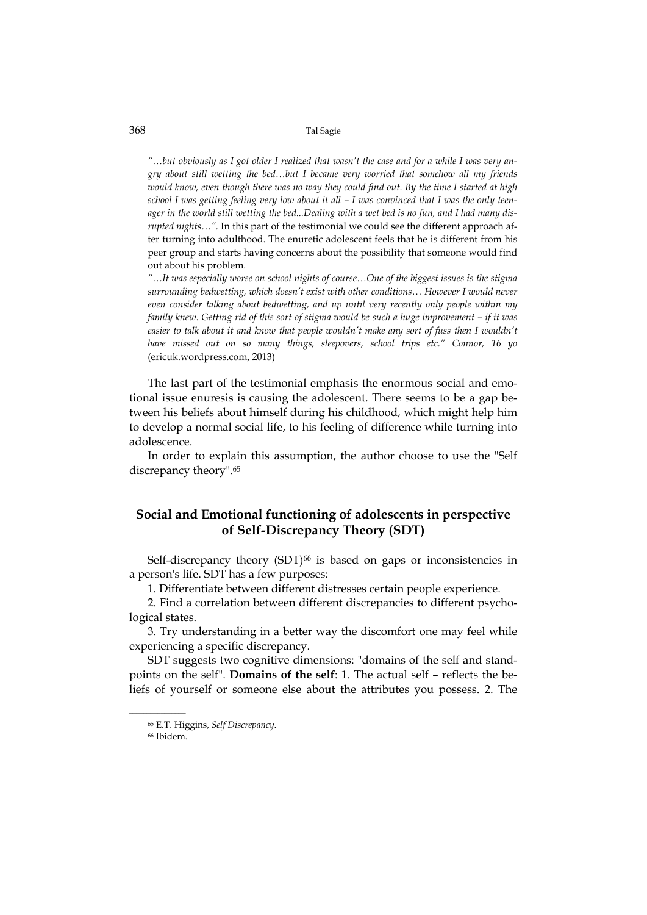*"…but obviously as I got older I realized that wasn't the case and for a while I was very angry about still wetting the bed…but I became very worried that somehow all my friends would know, even though there was no way they could find out. By the time I started at high school I was getting feeling very low about it all – I was convinced that I was the only teenager in the world still wetting the bed...Dealing with a wet bed is no fun, and I had many disrupted nights…".* In this part of the testimonial we could see the different approach after turning into adulthood. The enuretic adolescent feels that he is different from his peer group and starts having concerns about the possibility that someone would find out about his problem.

*"…It was especially worse on school nights of course…One of the biggest issues is the stigma surrounding bedwetting, which doesn't exist with other conditions… However I would never even consider talking about bedwetting, and up until very recently only people within my family knew. Getting rid of this sort of stigma would be such a huge improvement – if it was easier to talk about it and know that people wouldn't make any sort of fuss then I wouldn't have missed out on so many things, sleepovers, school trips etc." Connor, 16 yo*  (ericuk.wordpress.com, 2013)

The last part of the testimonial emphasis the enormous social and emotional issue enuresis is causing the adolescent. There seems to be a gap between his beliefs about himself during his childhood, which might help him to develop a normal social life, to his feeling of difference while turning into adolescence.

In order to explain this assumption, the author choose to use the "Self discrepancy theory".65

# **Social and Emotional functioning of adolescents in perspective of Self-Discrepancy Theory (SDT)**

Self-discrepancy theory (SDT)<sup>66</sup> is based on gaps or inconsistencies in a person's life. SDT has a few purposes:

1. Differentiate between different distresses certain people experience.

2. Find a correlation between different discrepancies to different psychological states.

3. Try understanding in a better way the discomfort one may feel while experiencing a specific discrepancy.

SDT suggests two cognitive dimensions: "domains of the self and standpoints on the self". **Domains of the self**: 1. The actual self – reflects the beliefs of yourself or someone else about the attributes you possess. 2. The

<sup>65</sup> E.T. Higgins, *Self Discrepancy*.

<sup>66</sup> Ibidem.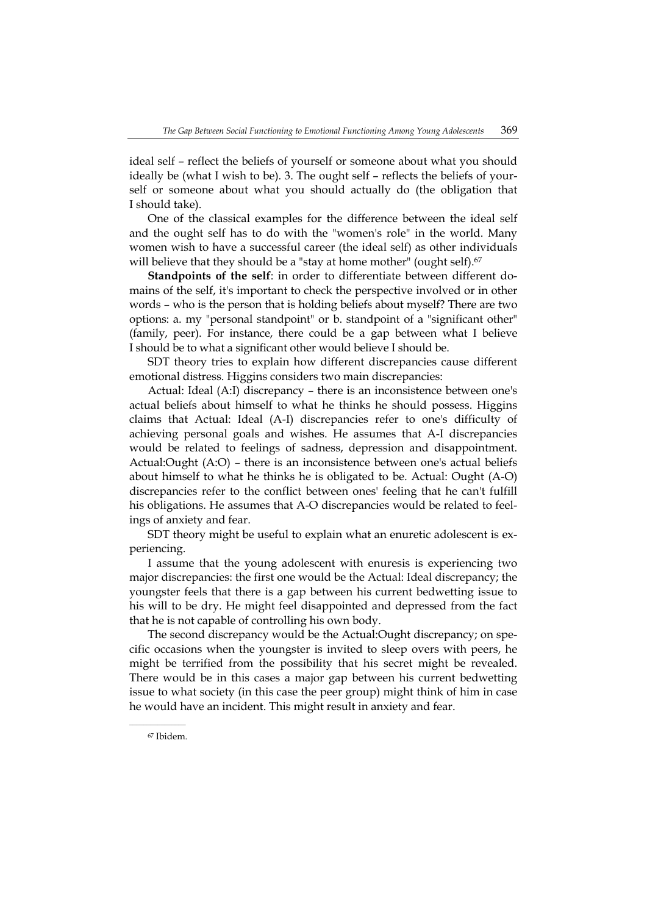ideal self – reflect the beliefs of yourself or someone about what you should ideally be (what I wish to be). 3. The ought self – reflects the beliefs of yourself or someone about what you should actually do (the obligation that I should take).

One of the classical examples for the difference between the ideal self and the ought self has to do with the "women's role" in the world. Many women wish to have a successful career (the ideal self) as other individuals will believe that they should be a "stay at home mother" (ought self).<sup>67</sup>

**Standpoints of the self**: in order to differentiate between different domains of the self, it's important to check the perspective involved or in other words – who is the person that is holding beliefs about myself? There are two options: a. my "personal standpoint" or b. standpoint of a "significant other" (family, peer). For instance, there could be a gap between what I believe I should be to what a significant other would believe I should be.

SDT theory tries to explain how different discrepancies cause different emotional distress. Higgins considers two main discrepancies:

Actual: Ideal (A:I) discrepancy – there is an inconsistence between one's actual beliefs about himself to what he thinks he should possess. Higgins claims that Actual: Ideal (A-I) discrepancies refer to one's difficulty of achieving personal goals and wishes. He assumes that A-I discrepancies would be related to feelings of sadness, depression and disappointment. Actual:Ought (A:O) – there is an inconsistence between one's actual beliefs about himself to what he thinks he is obligated to be. Actual: Ought (A-O) discrepancies refer to the conflict between ones' feeling that he can't fulfill his obligations. He assumes that A-O discrepancies would be related to feelings of anxiety and fear.

SDT theory might be useful to explain what an enuretic adolescent is experiencing.

I assume that the young adolescent with enuresis is experiencing two major discrepancies: the first one would be the Actual: Ideal discrepancy; the youngster feels that there is a gap between his current bedwetting issue to his will to be dry. He might feel disappointed and depressed from the fact that he is not capable of controlling his own body.

The second discrepancy would be the Actual:Ought discrepancy; on specific occasions when the youngster is invited to sleep overs with peers, he might be terrified from the possibility that his secret might be revealed. There would be in this cases a major gap between his current bedwetting issue to what society (in this case the peer group) might think of him in case he would have an incident. This might result in anxiety and fear.

<sup>67</sup> Ibidem.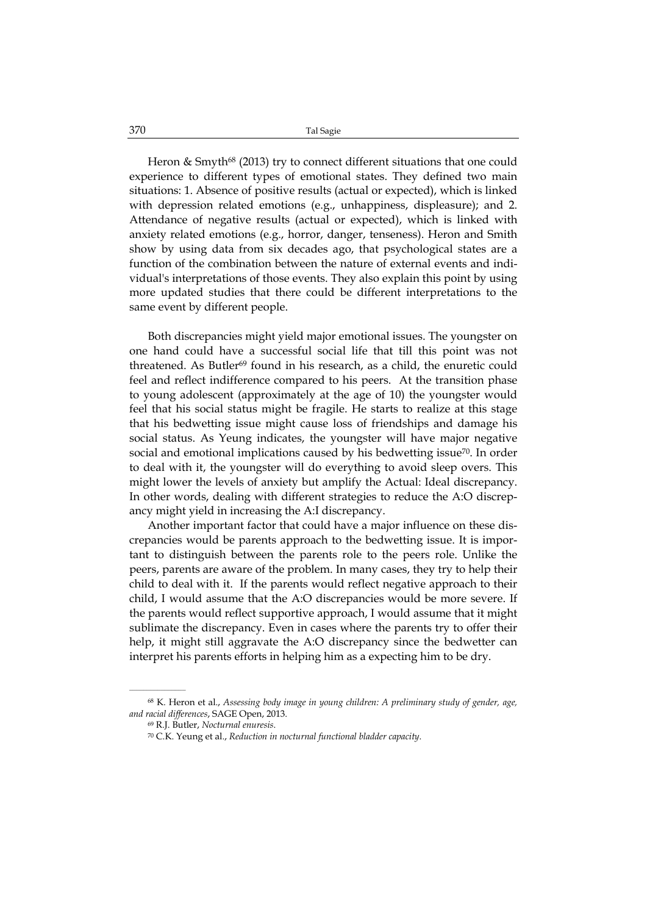Heron  $\&$  Smyth<sup>68</sup> (2013) try to connect different situations that one could experience to different types of emotional states. They defined two main situations: 1. Absence of positive results (actual or expected), which is linked with depression related emotions (e.g., unhappiness, displeasure); and 2. Attendance of negative results (actual or expected), which is linked with anxiety related emotions (e.g., horror, danger, tenseness). Heron and Smith show by using data from six decades ago, that psychological states are a function of the combination between the nature of external events and individual's interpretations of those events. They also explain this point by using more updated studies that there could be different interpretations to the same event by different people.

Both discrepancies might yield major emotional issues. The youngster on one hand could have a successful social life that till this point was not threatened. As Butler<sup>69</sup> found in his research, as a child, the enuretic could feel and reflect indifference compared to his peers. At the transition phase to young adolescent (approximately at the age of 10) the youngster would feel that his social status might be fragile. He starts to realize at this stage that his bedwetting issue might cause loss of friendships and damage his social status. As Yeung indicates, the youngster will have major negative social and emotional implications caused by his bedwetting issue<sup>70</sup>. In order to deal with it, the youngster will do everything to avoid sleep overs. This might lower the levels of anxiety but amplify the Actual: Ideal discrepancy. In other words, dealing with different strategies to reduce the A:O discrepancy might yield in increasing the A:I discrepancy.

Another important factor that could have a major influence on these discrepancies would be parents approach to the bedwetting issue. It is important to distinguish between the parents role to the peers role. Unlike the peers, parents are aware of the problem. In many cases, they try to help their child to deal with it. If the parents would reflect negative approach to their child, I would assume that the A:O discrepancies would be more severe. If the parents would reflect supportive approach, I would assume that it might sublimate the discrepancy. Even in cases where the parents try to offer their help, it might still aggravate the A:O discrepancy since the bedwetter can interpret his parents efforts in helping him as a expecting him to be dry.

<sup>68</sup> K. Heron et al., *Assessing body image in young children: A preliminary study of gender, age, and racial differences*, SAGE Open, 2013.

<sup>69</sup> R.J. Butler, *Nocturnal enuresis*.

<sup>70</sup> C.K. Yeung et al., *Reduction in nocturnal functional bladder capacity*.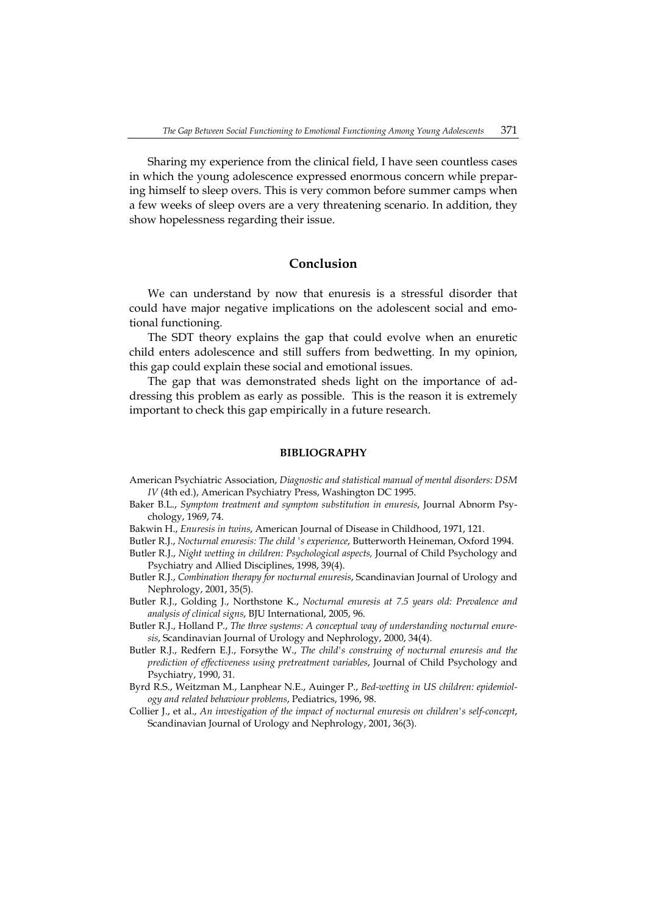Sharing my experience from the clinical field, I have seen countless cases in which the young adolescence expressed enormous concern while preparing himself to sleep overs. This is very common before summer camps when a few weeks of sleep overs are a very threatening scenario. In addition, they show hopelessness regarding their issue.

## **Conclusion**

We can understand by now that enuresis is a stressful disorder that could have major negative implications on the adolescent social and emotional functioning.

The SDT theory explains the gap that could evolve when an enuretic child enters adolescence and still suffers from bedwetting. In my opinion, this gap could explain these social and emotional issues.

The gap that was demonstrated sheds light on the importance of addressing this problem as early as possible. This is the reason it is extremely important to check this gap empirically in a future research.

#### **BIBLIOGRAPHY**

- American Psychiatric Association, *Diagnostic and statistical manual of mental disorders: DSM IV* (4th ed.), American Psychiatry Press, Washington DC 1995.
- Baker B.L., *Symptom treatment and symptom substitution in enuresis*, Journal Abnorm Psychology, 1969, 74.
- Bakwin H., *Enuresis in twins*, American Journal of Disease in Childhood, 1971, 121.

Butler R.J., *Nocturnal enuresis: The child 's experience*, Butterworth Heineman, Oxford 1994.

- Butler R.J., *Night wetting in children: Psychological aspects,* Journal of Child Psychology and Psychiatry and Allied Disciplines, 1998, 39(4).
- Butler R.J., *Combination therapy for nocturnal enuresis*, Scandinavian Journal of Urology and Nephrology, 2001, 35(5).
- Butler R.J., Golding J., Northstone K., *Nocturnal enuresis at 7.5 years old: Prevalence and analysis of clinical signs*, BJU International, 2005, 96.
- Butler R.J., Holland P., *The three systems: A conceptual way of understanding nocturnal enuresis*, Scandinavian Journal of Urology and Nephrology, 2000, 34(4).
- Butler R.J., Redfern E.J., Forsythe W., *The child's construing of nocturnal enuresis and the prediction of effectiveness using pretreatment variables*, Journal of Child Psychology and Psychiatry, 1990, 31.
- Byrd R.S., Weitzman M., Lanphear N.E., Auinger P., *Bed-wetting in US children: epidemiology and related behaviour problems*, Pediatrics, 1996, 98.
- Collier J., et al., *An investigation of the impact of nocturnal enuresis on children's self-concept*, Scandinavian Journal of Urology and Nephrology, 2001, 36(3).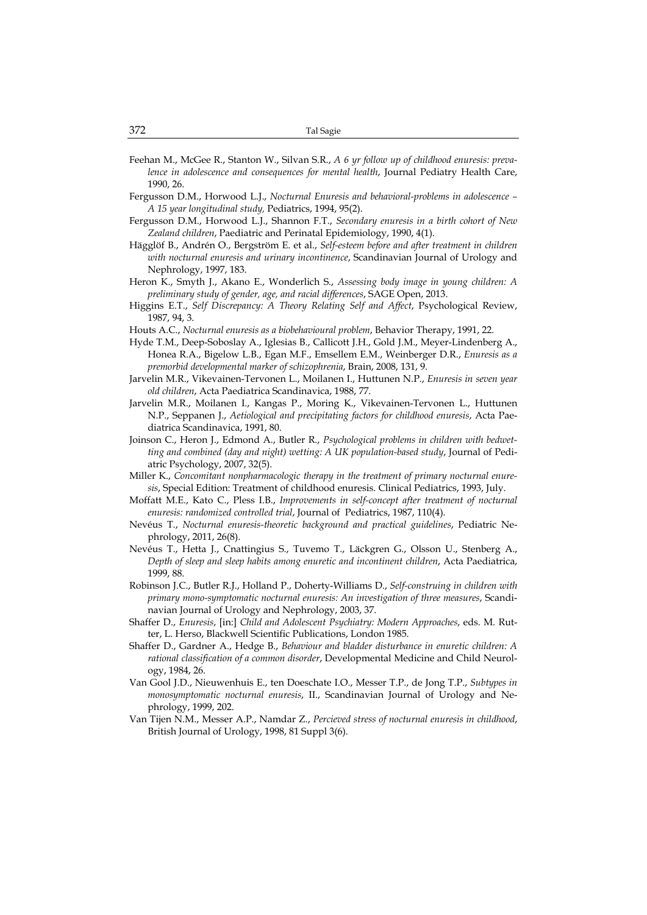- Feehan M., McGee R., Stanton W., Silvan S.R., *A 6 yr follow up of childhood enuresis: prevalence in adolescence and consequences for mental health*, Journal Pediatry Health Care, 1990, 26.
- Fergusson D.M., Horwood L.J., *Nocturnal Enuresis and behavioral-problems in adolescence A 15 year longitudinal study,* Pediatrics, 1994, 95(2).
- Fergusson D.M., Horwood L.J., Shannon F.T., *Secondary enuresis in a birth cohort of New Zealand children*, Paediatric and Perinatal Epidemiology, 1990, 4(1).
- Hägglöf B., Andrén O., Bergström E. et al., *Self-esteem before and after treatment in children with nocturnal enuresis and urinary incontinence*, Scandinavian Journal of Urology and Nephrology, 1997, 183.
- Heron K., Smyth J., Akano E., Wonderlich S., *Assessing body image in young children: A preliminary study of gender, age, and racial differences*, SAGE Open, 2013.
- Higgins E.T., *Self Discrepancy: A Theory Relating Self and Affect*, Psychological Review, 1987, 94, 3.
- Houts A.C., *Nocturnal enuresis as a biobehavioural problem*, Behavior Therapy, 1991, 22.
- Hyde T.M., Deep-Soboslay A., Iglesias B., Callicott J.H., Gold J.M., Meyer-Lindenberg A., Honea R.A., Bigelow L.B., Egan M.F., Emsellem E.M., Weinberger D.R., *Enuresis as a premorbid developmental marker of schizophrenia*, Brain, 2008, 131, 9.
- Jarvelin M.R., Vikevainen-Tervonen L., Moilanen I., Huttunen N.P., *Enuresis in seven year old children*, Acta Paediatrica Scandinavica, 1988, 77.
- Jarvelin M.R., Moilanen I., Kangas P., Moring K., Vikevainen-Tervonen L., Huttunen N.P., Seppanen J., *Aetiological and precipitating factors for childhood enuresis*, Acta Paediatrica Scandinavica, 1991, 80.
- Joinson C., Heron J., Edmond A., Butler R., *Psychological problems in children with bedwetting and combined (day and night) wetting: A UK population-based study*, Journal of Pediatric Psychology, 2007, 32(5).
- Miller K., *Concomitant nonpharmacologic therapy in the treatment of primary nocturnal enuresis*, Special Edition: Treatment of childhood enuresis. Clinical Pediatrics, 1993, July.
- Moffatt M.E., Kato C., Pless I.B., *Improvements in self-concept after treatment of nocturnal enuresis: randomized controlled trial*, Journal of Pediatrics, 1987, 110(4).
- Nevéus T., *Nocturnal enuresis-theoretic background and practical guidelines*, Pediatric Nephrology, 2011, 26(8).
- Nevéus T., Hetta J., Cnattingius S., Tuvemo T., Läckgren G., Olsson U., Stenberg A., *Depth of sleep and sleep habits among enuretic and incontinent children*, Acta Paediatrica, 1999, 88.
- Robinson J.C., Butler R.J., Holland P., Doherty-Williams D., *Self-construing in children with primary mono-symptomatic nocturnal enuresis: An investigation of three measures*, Scandinavian Journal of Urology and Nephrology, 2003, 37.
- Shaffer D., *Enuresis*, [in:] *Child and Adolescent Psychiatry: Modern Approaches*, eds. M. Rutter, L. Herso, Blackwell Scientific Publications, London 1985.
- Shaffer D., Gardner A., Hedge B., *Behaviour and bladder disturbance in enuretic children: A rational classification of a common disorder*, Developmental Medicine and Child Neurology, 1984, 26.
- Van Gool J.D., Nieuwenhuis E., ten Doeschate I.O., Messer T.P., de Jong T.P., *Subtypes in monosymptomatic nocturnal enuresis*, II., Scandinavian Journal of Urology and Nephrology, 1999, 202.
- Van Tijen N.M., Messer A.P., Namdar Z., *Percieved stress of nocturnal enuresis in childhood*, British Journal of Urology, 1998, 81 Suppl 3(6).